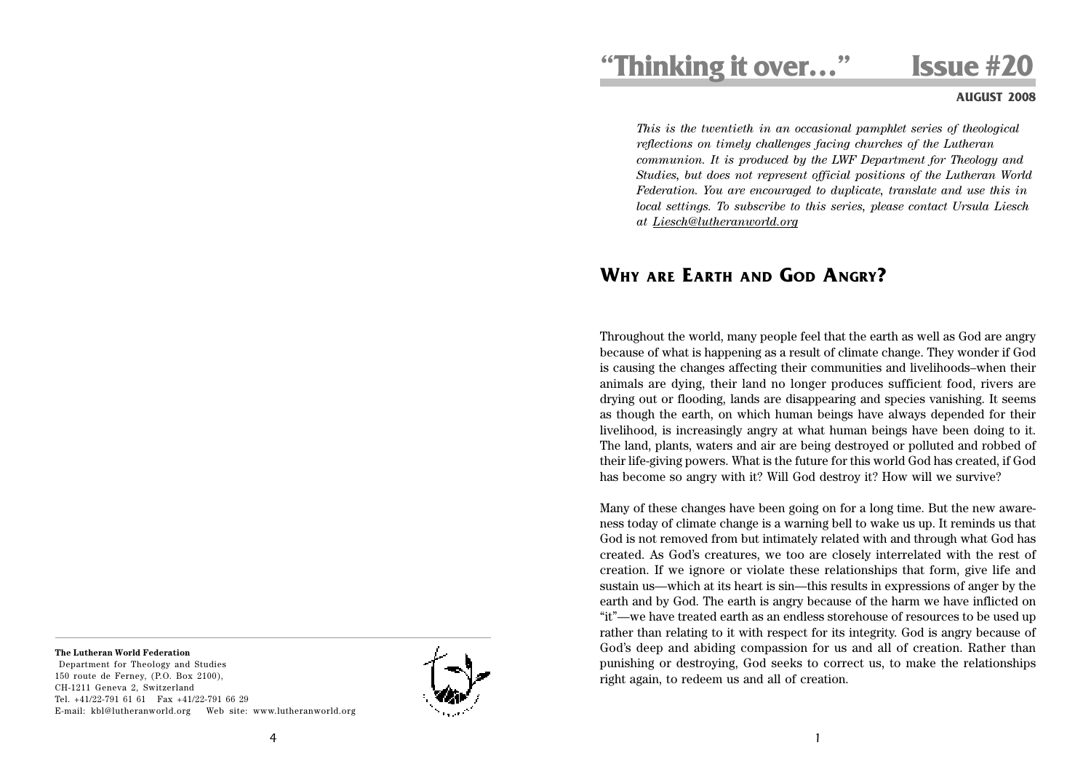# **"Thinking it over…" Issue #20**

## **AUGUST 2008**

*This is the twentieth in an occasional pamphlet series of theological reflections on timely challenges facing churches of the Lutheran communion. It is produced by the LWF Department for Theology and Studies, but does not represent official positions of the Lutheran World Federation. You are encouraged to duplicate, translate and use this in local settings. To subscribe to this series, please contact Ursula Liesch at Liesch@lutheranworld.org*

## **WHY ARE EARTH AND GOD ANGRY?**

Throughout the world, many people feel that the earth as well as God are angry because of what is happening as a result of climate change. They wonder if God is causing the changes affecting their communities and livelihoods–when their animals are dying, their land no longer produces sufficient food, rivers are drying out or flooding, lands are disappearing and species vanishing. It seems as though the earth, on which human beings have always depended for their livelihood, is increasingly angry at what human beings have been doing to it. The land, plants, waters and air are being destroyed or polluted and robbed of their life-giving powers. What is the future for this world God has created, if God has become so angry with it? Will God destroy it? How will we survive?

Many of these changes have been going on for a long time. But the new awareness today of climate change is a warning bell to wake us up. It reminds us that God is not removed from but intimately related with and through what God has created. As God's creatures, we too are closely interrelated with the rest of creation. If we ignore or violate these relationships that form, give life and sustain us—which at its heart is sin—this results in expressions of anger by the earth and by God. The earth is angry because of the harm we have inflicted on "it"—we have treated earth as an endless storehouse of resources to be used up rather than relating to it with respect for its integrity. God is angry because of God's deep and abiding compassion for us and all of creation. Rather than punishing or destroying, God seeks to correct us, to make the relationships right again, to redeem us and all of creation.

### **The Lutheran World Federation**

 Department for Theology and Studies 150 route de Ferney, (P.O. Box 2100), CH-1211 Geneva 2, Switzerland Tel. +41/22-791 61 61 Fax +41/22-791 66 29 E-mail: kbl@lutheranworld.org Web site: www.lutheranworld.org